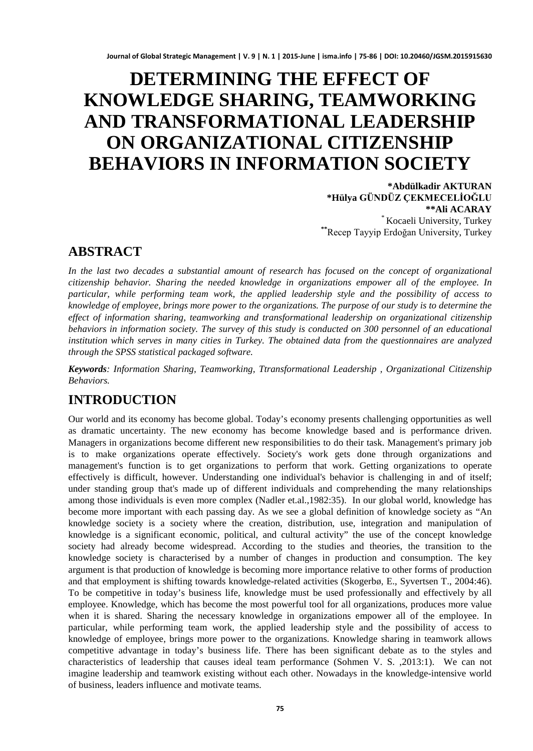# **DETERMINING THE EFFECT OF KNOWLEDGE SHARING, TEAMWORKING AND TRANSFORMATIONAL LEADERSHIP ON ORGANIZATIONAL CITIZENSHIP BEHAVIORS IN INFORMATION SOCIETY**<br>\*Abdülkadir AKTURAN

**\*Hülya GÜNDÜZ ÇEKMECELİOĞLU \*\*Ali ACARAY** \* Kocaeli University, Turkey **\*\***Recep Tayyip Erdoğan University, Turkey

### **ABSTRACT**

*In the last two decades a substantial amount of research has focused on the concept of organizational citizenship behavior. Sharing the needed knowledge in organizations empower all of the employee. In particular, while performing team work, the applied leadership style and the possibility of access to knowledge of employee, brings more power to the organizations. The purpose of our study is to determine the effect of information sharing, teamworking and transformational leadership on organizational citizenship behaviors in information society. The survey of this study is conducted on 300 personnel of an educational institution which serves in many cities in Turkey. The obtained data from the questionnaires are analyzed through the SPSS statistical packaged software.*

*Keywords: Information Sharing, Teamworking, Ttransformational Leadership , Organizational Citizenship Behaviors.*

# **INTRODUCTION**

Our world and its economy has become global. Today's economy presents challenging opportunities as well as dramatic uncertainty. The new economy has become knowledge based and is performance driven. Managers in organizations become different new responsibilities to do their task. Management's primary job is to make organizations operate effectively. Society's work gets done through organizations and management's function is to get organizations to perform that work. Getting organizations to operate effectively is difficult, however. Understanding one individual's behavior is challenging in and of itself; under standing group that's made up of different individuals and comprehending the many relationships among those individuals is even more complex (Nadler et.al.,1982:35). In our global world, knowledge has become more important with each passing day. As we see a global definition of knowledge society as "An knowledge society is a society where the creation, distribution, use, integration and manipulation of knowledge is a significant economic, political, and cultural activity" the use of the concept knowledge society had already become widespread. According to the studies and theories, the transition to the knowledge society is characterised by a number of changes in production and consumption. The key argument is that production of knowledge is becoming more importance relative to other forms of production and that employment is shifting towards knowledge-related activities (Skogerbø, E., Syvertsen T., 2004:46). To be competitive in today's business life, knowledge must be used professionally and effectively by all employee. Knowledge, which has become the most powerful tool for all organizations, produces more value when it is shared. Sharing the necessary knowledge in organizations empower all of the employee. In particular, while performing team work, the applied leadership style and the possibility of access to knowledge of employee, brings more power to the organizations. Knowledge sharing in teamwork allows competitive advantage in today's business life. There has been significant debate as to the styles and characteristics of leadership that causes ideal team performance (Sohmen V. S. ,2013:1). We can not imagine leadership and teamwork existing without each other. Nowadays in the knowledge-intensive world of business, leaders influence and motivate teams.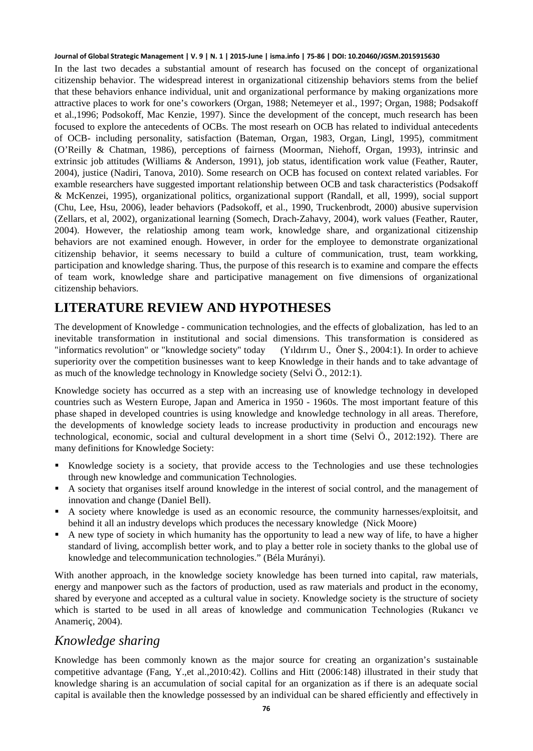In the last two decades a substantial amount of research has focused on the concept of organizational citizenship behavior. The widespread interest in organizational citizenship behaviors stems from the belief that these behaviors enhance individual, unit and organizational performance by making organizations more attractive places to work for one's coworkers (Organ, 1988; Netemeyer et al., 1997; Organ, 1988; Podsakoff et al.,1996; Podsokoff, Mac Kenzie, 1997). Since the development of the concept, much research has been focused to explore the antecedents of OCBs. The most researh on OCB has related to individual antecedents of OCB- including personality, satisfaction (Bateman, Organ, 1983, Organ, Lingl, 1995), commitment (O'Reilly & Chatman, 1986), perceptions of fairness (Moorman, Niehoff, Organ, 1993), intrinsic and extrinsic job attitudes (Williams & Anderson, 1991), job status, identification work value (Feather, Rauter, 2004), justice (Nadiri, Tanova, 2010). Some research on OCB has focused on context related variables. For examble researchers have suggested important relationship between OCB and task characteristics (Podsakoff & McKenzei, 1995), organizational politics, organizational support (Randall, et all, 1999), social support (Chu, Lee, Hsu, 2006), leader behaviors (Padsokoff, et al., 1990, Truckenbrodt, 2000) abusive supervision (Zellars, et al, 2002), organizational learning (Somech, Drach-Zahavy, 2004), work values (Feather, Rauter, 2004). However, the relatioship among team work, knowledge share, and organizational citizenship behaviors are not examined enough. However, in order for the employee to demonstrate organizational citizenship behavior, it seems necessary to build a culture of communication, trust, team workking, participation and knowledge sharing. Thus, the purpose of this research is to examine and compare the effects of team work, knowledge share and participative management on five dimensions of organizational citizenship behaviors.

### **LITERATURE REVIEW AND HYPOTHESES**

The development of Knowledge - communication technologies, and the effects of globalization, has led to an inevitable transformation in institutional and social dimensions. This transformation is considered as "informatics revolution" or "knowledge society" today (Yıldırım U., Öner Ş., 2004:1). In order to achieve superiority over the competition businesses want to keep Knowledge in their hands and to take advantage of as much of the knowledge technology in Knowledge society (Selvi Ö., 2012:1).

Knowledge society has occurred as a step with an increasing use of knowledge technology in developed countries such as Western Europe, Japan and America in 1950 - 1960s. The most important feature of this phase shaped in developed countries is using knowledge and knowledge technology in all areas. Therefore, the developments of knowledge society leads to increase productivity in production and encourags new technological, economic, social and cultural development in a short time (Selvi Ö., 2012:192). There are many definitions for Knowledge Society:

- Knowledge society is a society, that provide access to the Technologies and use these technologies through new knowledge and communication Technologies.
- A society that organises itself around knowledge in the interest of social control, and the management of innovation and change (Daniel Bell).
- A society where knowledge is used as an economic resource, the community harnesses/exploitsit, and behind it all an industry develops which produces the necessary knowledge (Nick Moore)
- A new type of society in which humanity has the opportunity to lead a new way of life, to have a higher standard of living, accomplish better work, and to play a better role in society thanks to the global use of knowledge and telecommunication technologies." (Béla Murányi).

With another approach, in the knowledge society knowledge has been turned into capital, raw materials, energy and manpower such as the factors of production, used as raw materials and product in the economy, shared by everyone and accepted as a cultural value in society. Knowledge society is the structure of society which is started to be used in all areas of knowledge and communication Technologies (Rukancı ve Anameriç, 2004).

### *Knowledge sharing*

Knowledge has been commonly known as the major source for creating an organization's sustainable competitive advantage (Fang, Y.,et al.,2010:42). Collins and Hitt (2006:148) illustrated in their study that knowledge sharing is an accumulation of social capital for an organization as if there is an adequate social capital is available then the knowledge possessed by an individual can be shared efficiently and effectively in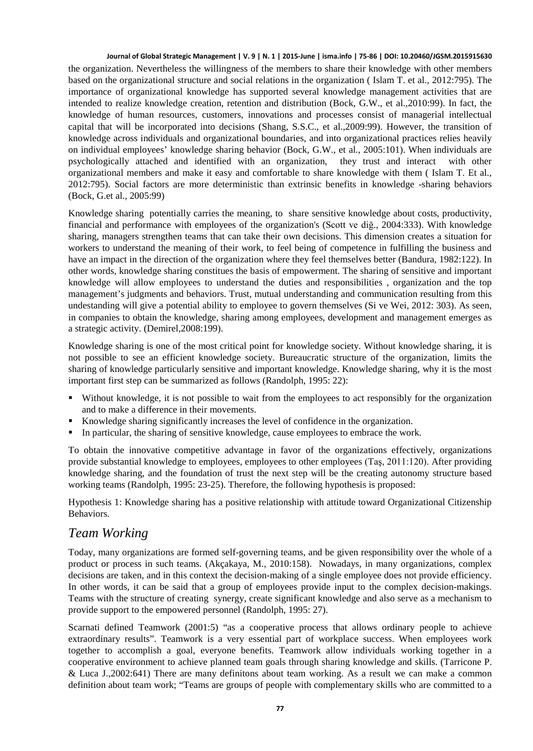the organization. Nevertheless the willingness of the members to share their knowledge with other members based on the organizational structure and social relations in the organization ( Islam T. et al., 2012:795). The importance of organizational knowledge has supported several knowledge management activities that are intended to realize knowledge creation, retention and distribution (Bock, G.W., et al.,2010:99). In fact, the knowledge of human resources, customers, innovations and processes consist of managerial intellectual capital that will be incorporated into decisions (Shang, S.S.C., et al.,2009:99). However, the transition of knowledge across individuals and organizational boundaries, and into organizational practices relies heavily on individual employees' knowledge sharing behavior (Bock, G.W., et al., 2005:101). When individuals are psychologically attached and identified with an organization, they trust and interact with other organizational members and make it easy and comfortable to share knowledge with them ( Islam T. Et al., 2012:795). Social factors are more deterministic than extrinsic benefits in knowledge -sharing behaviors (Bock, G.et al., 2005:99)

Knowledge sharing potentially carries the meaning, to share sensitive knowledge about costs, productivity, financial and performance with employees of the organization's (Scott ve diğ., 2004:333). With knowledge sharing, managers strengthen teams that can take their own decisions. This dimension creates a situation for workers to understand the meaning of their work, to feel being of competence in fulfilling the business and have an impact in the direction of the organization where they feel themselves better (Bandura, 1982:122). In other words, knowledge sharing constitues the basis of empowerment. The sharing of sensitive and important knowledge will allow employees to understand the duties and responsibilities , organization and the top management's judgments and behaviors. Trust, mutual understanding and communication resulting from this undestanding will give a potential ability to employee to govern themselves (Si ve Wei, 2012: 303). As seen, in companies to obtain the knowledge, sharing among employees, development and management emerges as a strategic activity. (Demirel,2008:199).

Knowledge sharing is one of the most critical point for knowledge society. Without knowledge sharing, it is not possible to see an efficient knowledge society. Bureaucratic structure of the organization, limits the sharing of knowledge particularly sensitive and important knowledge. Knowledge sharing, why it is the most important first step can be summarized as follows (Randolph, 1995: 22):

- Without knowledge, it is not possible to wait from the employees to act responsibly for the organization and to make a difference in their movements.
- Knowledge sharing significantly increases the level of confidence in the organization.
- In particular, the sharing of sensitive knowledge, cause employees to embrace the work.

To obtain the innovative competitive advantage in favor of the organizations effectively, organizations provide substantial knowledge to employees, employees to other employees (Taş, 2011:120). After providing knowledge sharing, and the foundation of trust the next step will be the creating autonomy structure based working teams (Randolph, 1995: 23-25). Therefore, the following hypothesis is proposed:

Hypothesis 1: Knowledge sharing has a positive relationship with attitude toward Organizational Citizenship Behaviors.

#### *Team Working*

Today, many organizations are formed self-governing teams, and be given responsibility over the whole of a product or process in such teams. (Akçakaya, M., 2010:158). Nowadays, in many organizations, complex decisions are taken, and in this context the decision-making of a single employee does not provide efficiency. In other words, it can be said that a group of employees provide input to the complex decision-makings. Teams with the structure of creating synergy, create significant knowledge and also serve as a mechanism to provide support to the empowered personnel (Randolph, 1995: 27).

Scarnati defined Teamwork (2001:5) "as a cooperative process that allows ordinary people to achieve extraordinary results". Teamwork is a very essential part of workplace success. When employees work together to accomplish a goal, everyone benefits. Teamwork allow individuals working together in a cooperative environment to achieve planned team goals through sharing knowledge and skills. (Tarricone P. & Luca J.,2002:641) There are many definitons about team working. As a result we can make a common definition about team work; "Teams are groups of people with complementary skills who are committed to a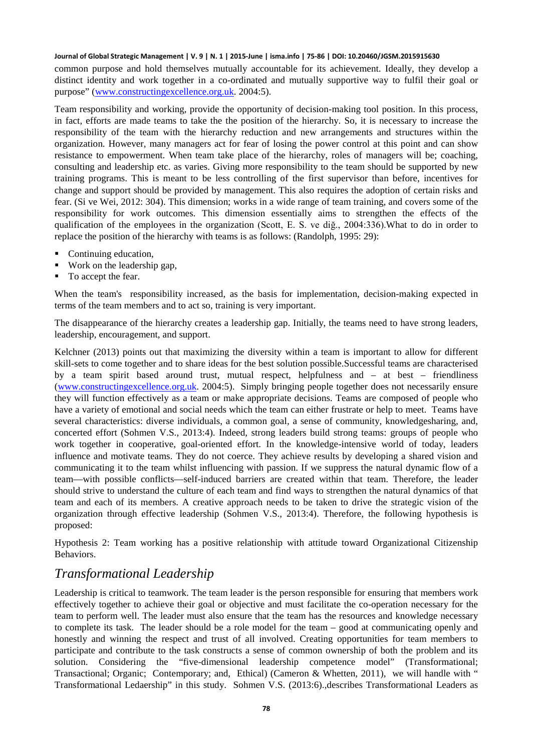common purpose and hold themselves mutually accountable for its achievement. Ideally, they develop a distinct identity and work together in a co-ordinated and mutually supportive way to fulfil their goal or purpose" [\(www.constructingexcellence.org.uk.](http://www.constructingexcellence.org.uk/) 2004:5).

Team responsibility and working, provide the opportunity of decision-making tool position. In this process, in fact, efforts are made teams to take the the position of the hierarchy. So, it is necessary to increase the responsibility of the team with the hierarchy reduction and new arrangements and structures within the organization. However, many managers act for fear of losing the power control at this point and can show resistance to empowerment. When team take place of the hierarchy, roles of managers will be; coaching, consulting and leadership etc. as varies. Giving more responsibility to the team should be supported by new training programs. This is meant to be less controlling of the first supervisor than before, incentives for change and support should be provided by management. This also requires the adoption of certain risks and fear. (Si ve Wei, 2012: 304). This dimension; works in a wide range of team training, and covers some of the responsibility for work outcomes. This dimension essentially aims to strengthen the effects of the qualification of the employees in the organization (Scott, E. S. ve diğ., 2004:336).What to do in order to replace the position of the hierarchy with teams is as follows: (Randolph, 1995: 29):

- Continuing education,
- Work on the leadership gap,
- To accept the fear.

When the team's responsibility increased, as the basis for implementation, decision-making expected in terms of the team members and to act so, training is very important.

The disappearance of the hierarchy creates a leadership gap. Initially, the teams need to have strong leaders, leadership, encouragement, and support.

Kelchner (2013) points out that maximizing the diversity within a team is important to allow for different skill-sets to come together and to share ideas for the best solution possible.Successful teams are characterised by a team spirit based around trust, mutual respect, helpfulness and – at best – friendliness [\(www.constructingexcellence.org.uk.](http://www.constructingexcellence.org.uk/) 2004:5). Simply bringing people together does not necessarily ensure they will function effectively as a team or make appropriate decisions. Teams are composed of people who have a variety of emotional and social needs which the team can either frustrate or help to meet. Teams have several characteristics: diverse individuals, a common goal, a sense of community, knowledgesharing, and, concerted effort (Sohmen V.S., 2013:4). Indeed, strong leaders build strong teams: groups of people who work together in cooperative, goal-oriented effort. In the knowledge-intensive world of today, leaders influence and motivate teams. They do not coerce. They achieve results by developing a shared vision and communicating it to the team whilst influencing with passion. If we suppress the natural dynamic flow of a team—with possible conflicts—self-induced barriers are created within that team. Therefore, the leader should strive to understand the culture of each team and find ways to strengthen the natural dynamics of that team and each of its members. A creative approach needs to be taken to drive the strategic vision of the organization through effective leadership (Sohmen V.S., 2013:4). Therefore, the following hypothesis is proposed:

Hypothesis 2: Team working has a positive relationship with attitude toward Organizational Citizenship Behaviors.

### *Transformational Leadership*

Leadership is critical to teamwork. The team leader is the person responsible for ensuring that members work effectively together to achieve their goal or objective and must facilitate the co-operation necessary for the team to perform well. The leader must also ensure that the team has the resources and knowledge necessary to complete its task. The leader should be a role model for the team – good at communicating openly and honestly and winning the respect and trust of all involved. Creating opportunities for team members to participate and contribute to the task constructs a sense of common ownership of both the problem and its solution. Considering the "five-dimensional leadership competence model" (Transformational; Transactional; Organic; Contemporary; and, Ethical) (Cameron & Whetten, 2011), we will handle with " Transformational Ledaership" in this study. Sohmen V.S. (2013:6).,describes Transformational Leaders as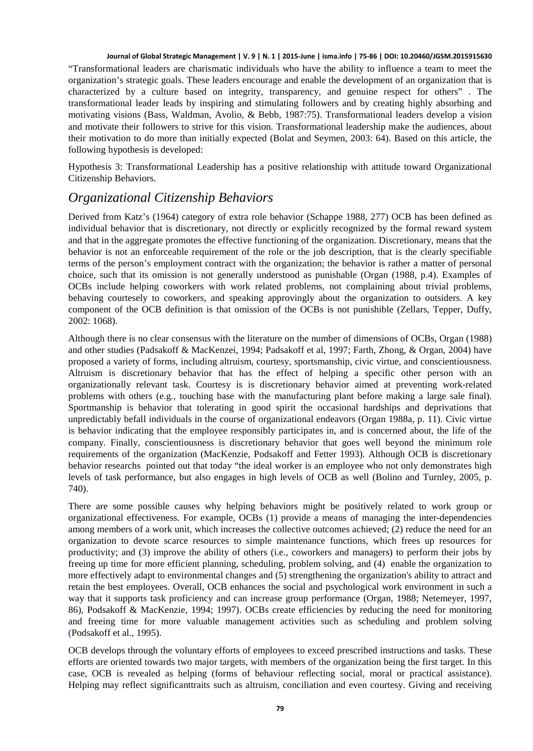"Transformational leaders are charismatic individuals who have the ability to influence a team to meet the organization's strategic goals. These leaders encourage and enable the development of an organization that is characterized by a culture based on integrity, transparency, and genuine respect for others" . The transformational leader leads by inspiring and stimulating followers and by creating highly absorbing and motivating visions (Bass, Waldman, Avolio, & Bebb, 1987:75). Transformational leaders develop a vision and motivate their followers to strive for this vision. Transformational leadership make the audiences, about their motivation to do more than initially expected (Bolat and Seymen, 2003: 64). Based on this article, the following hypothesis is developed:

Hypothesis 3: Transformational Leadership has a positive relationship with attitude toward Organizational Citizenship Behaviors.

### *Organizational Citizenship Behaviors*

Derived from Katz's (1964) category of extra role behavior (Schappe 1988, 277) OCB has been defined as individual behavior that is discretionary, not directly or explicitly recognized by the formal reward system and that in the aggregate promotes the effective functioning of the organization. Discretionary, means that the behavior is not an enforceable requirement of the role or the job description, that is the clearly specifiable terms of the person's employment contract with the organization; the behavior is rather a matter of personal choice, such that its omission is not generally understood as punishable (Organ (1988, p.4). Examples of OCBs include helping coworkers with work related problems, not complaining about trivial problems, behaving courtesely to coworkers, and speaking approvingly about the organization to outsiders. A key component of the OCB definition is that omission of the OCBs is not punishible (Zellars, Tepper, Duffy, 2002: 1068).

Although there is no clear consensus with the literature on the number of dimensions of OCBs, Organ (1988) and other studies (Padsakoff & MacKenzei, 1994; Padsakoff et al, 1997; Farth, Zhong, & Organ, 2004) have proposed a variety of forms, including altruism, courtesy, sportsmanship, civic virtue, and conscientiousness. Altruism is discretionary behavior that has the effect of helping a specific other person with an organizationally relevant task. Courtesy is is discretionary behavior aimed at preventing work-related problems with others (e.g., touching base with the manufacturing plant before making a large sale final). Sportmanship is behavior that tolerating in good spirit the occasional hardships and deprivations that unpredictably befall individuals in the course of organizational endeavors (Organ 1988a, p. 11). Civic virtue is behavior indicating that the employee responsibly participates in, and is concerned about, the life of the company. Finally, conscientiousness is discretionary behavior that goes well beyond the minimum role requirements of the organization (MacKenzie, Podsakoff and Fetter 1993). Although OCB is discretionary behavior researchs pointed out that today "the ideal worker is an employee who not only demonstrates high levels of task performance, but also engages in high levels of OCB as well (Bolino and Turnley, 2005, p. 740).

There are some possible causes why helping behaviors might be positively related to work group or organizational effectiveness. For example, OCBs (1) provide a means of managing the inter-dependencies among members of a work unit, which increases the collective outcomes achieved; (2) reduce the need for an organization to devote scarce resources to simple maintenance functions, which frees up resources for productivity; and (3) improve the ability of others (i.e., coworkers and managers) to perform their jobs by freeing up time for more efficient planning, scheduling, problem solving, and (4) enable the organization to more effectively adapt to environmental changes and (5) strengthening the organization's ability to attract and retain the best employees. Overall, OCB enhances the social and psychological work environment in such a way that it supports task proficiency and can increase group performance (Organ, 1988; Netemeyer, 1997, 86), Podsakoff & MacKenzie, 1994; 1997). OCBs create efficiencies by reducing the need for monitoring and freeing time for more valuable management activities such as scheduling and problem solving (Podsakoff et al., 1995).

OCB develops through the voluntary efforts of employees to exceed prescribed instructions and tasks. These efforts are oriented towards two major targets, with members of the organization being the first target. In this case, OCB is revealed as helping (forms of behaviour reflecting social, moral or practical assistance). Helping may reflect significanttraits such as altruism, conciliation and even courtesy. Giving and receiving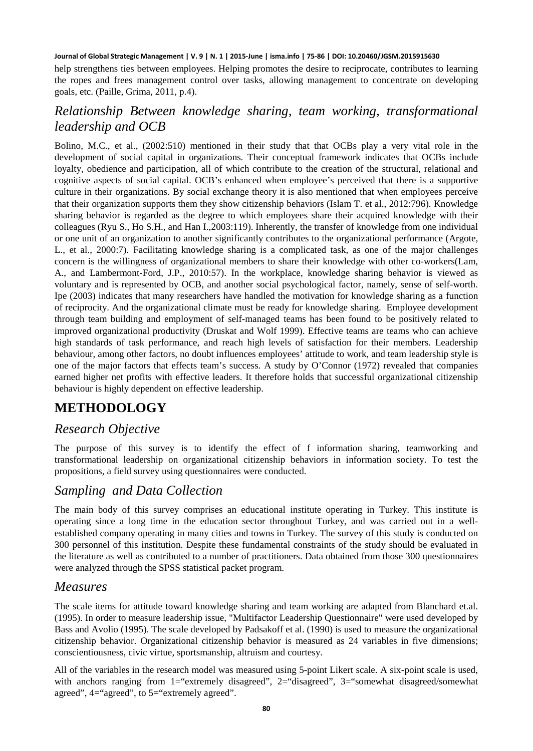help strengthens ties between employees. Helping promotes the desire to reciprocate, contributes to learning the ropes and frees management control over tasks, allowing management to concentrate on developing goals, etc. (Paille, Grima, 2011, p.4).

### *Relationship Between knowledge sharing, team working, transformational leadership and OCB*

Bolino, M.C., et al., (2002:510) mentioned in their study that that OCBs play a very vital role in the development of social capital in organizations. Their conceptual framework indicates that OCBs include loyalty, obedience and participation, all of which contribute to the creation of the structural, relational and cognitive aspects of social capital. OCB's enhanced when employee's perceived that there is a supportive culture in their organizations. By social exchange theory it is also mentioned that when employees perceive that their organization supports them they show citizenship behaviors (Islam T. et al., 2012:796). Knowledge sharing behavior is regarded as the degree to which employees share their acquired knowledge with their colleagues (Ryu S., Ho S.H., and Han I.,2003:119). Inherently, the transfer of knowledge from one individual or one unit of an organization to another significantly contributes to the organizational performance (Argote, L., et al., 2000:7). Facilitating knowledge sharing is a complicated task, as one of the major challenges concern is the willingness of organizational members to share their knowledge with other co-workers(Lam, A., and Lambermont-Ford, J.P., 2010:57). In the workplace, knowledge sharing behavior is viewed as voluntary and is represented by OCB, and another social psychological factor, namely, sense of self-worth. Ipe (2003) indicates that many researchers have handled the motivation for knowledge sharing as a function of reciprocity. And the organizational climate must be ready for knowledge sharing. Employee development through team building and employment of self-managed teams has been found to be positively related to improved organizational productivity (Druskat and Wolf 1999). Effective teams are teams who can achieve high standards of task performance, and reach high levels of satisfaction for their members. Leadership behaviour, among other factors, no doubt influences employees' attitude to work, and team leadership style is one of the major factors that effects team's success. A study by O'Connor (1972) revealed that companies earned higher net profits with effective leaders. It therefore holds that successful organizational citizenship behaviour is highly dependent on effective leadership.

# **METHODOLOGY**

### *Research Objective*

The purpose of this survey is to identify the effect of f information sharing, teamworking and transformational leadership on organizational citizenship behaviors in information society. To test the propositions, a field survey using questionnaires were conducted.

## *Sampling and Data Collection*

The main body of this survey comprises an educational institute operating in Turkey. This institute is operating since a long time in the education sector throughout Turkey, and was carried out in a wellestablished company operating in many cities and towns in Turkey. The survey of this study is conducted on 300 personnel of this institution. Despite these fundamental constraints of the study should be evaluated in the literature as well as contributed to a number of practitioners. Data obtained from those 300 questionnaires were analyzed through the SPSS statistical packet program.

### *Measures*

The scale items for attitude toward knowledge sharing and team working are adapted from Blanchard et.al. (1995). In order to measure leadership issue, "Multifactor Leadership Questionnaire" were used developed by Bass and Avolio (1995). The scale developed by Padsakoff et al. (1990) is used to measure the organizational citizenship behavior. Organizational citizenship behavior is measured as 24 variables in five dimensions; conscientiousness, civic virtue, sportsmanship, altruism and courtesy.

All of the variables in the research model was measured using 5-point Likert scale. A six-point scale is used, with anchors ranging from 1="extremely disagreed", 2="disagreed", 3="somewhat disagreed/somewhat agreed", 4="agreed", to 5="extremely agreed".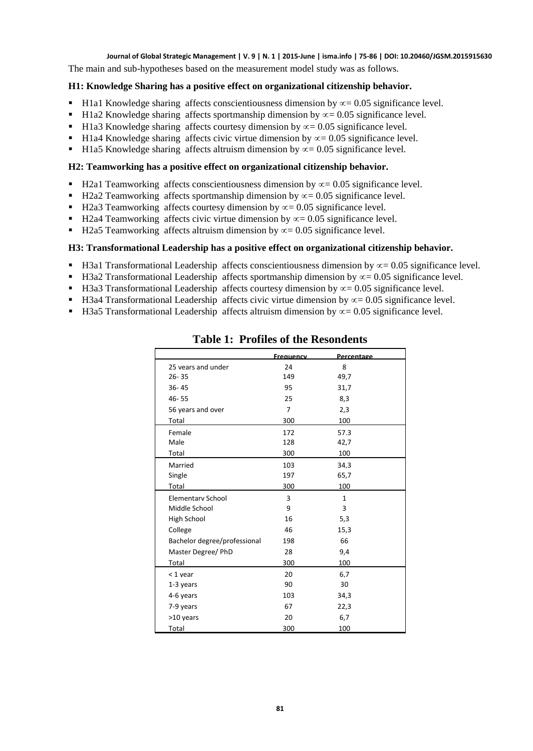The main and sub-hypotheses based on the measurement model study was as follows.

#### **H1: Knowledge Sharing has a positive effect on organizational citizenship behavior.**

- H1a1 Knowledge sharing affects conscientiousness dimension by  $\infty$  = 0.05 significance level.
- H1a2 Knowledge sharing affects sportmanship dimension by  $\infty$  = 0.05 significance level.
- H1a3 Knowledge sharing affects courtesy dimension by  $\infty$  = 0.05 significance level.
- H1a4 Knowledge sharing affects civic virtue dimension by  $\infty$  = 0.05 significance level.
- H1a5 Knowledge sharing affects altruism dimension by  $\infty$  = 0.05 significance level.

#### **H2: Teamworking has a positive effect on organizational citizenship behavior.**

- H2a1 Teamworking affects conscientiousness dimension by  $\infty$  = 0.05 significance level.
- H2a2 Teamworking affects sportmanship dimension by  $\infty$  = 0.05 significance level.
- H2a3 Teamworking affects courtesy dimension by  $\infty$  = 0.05 significance level.
- H2a4 Teamworking affects civic virtue dimension by  $\infty$  = 0.05 significance level.
- H2a5 Teamworking affects altruism dimension by  $\infty$  = 0.05 significance level.

#### **H3: Transformational Leadership has a positive effect on organizational citizenship behavior.**

- H3a1 Transformational Leadership affects conscientiousness dimension by  $\alpha$  = 0.05 significance level.
- H3a2 Transformational Leadership affects sportmanship dimension by  $\infty$  = 0.05 significance level.
- H3a3 Transformational Leadership affects courtesy dimension by  $\alpha$  = 0.05 significance level.
- H3a4 Transformational Leadership affects civic virtue dimension by  $\infty$  = 0.05 significance level.
- H3a5 Transformational Leadership affects altruism dimension by  $\infty$  = 0.05 significance level.

|                              | <b>Frequency</b> | Percentage   |  |
|------------------------------|------------------|--------------|--|
| 25 years and under           | 24               | 8            |  |
| $26 - 35$                    | 149              | 49,7         |  |
| $36 - 45$                    | 95               | 31,7         |  |
| 46-55                        | 25               | 8,3          |  |
| 56 years and over            | $\overline{7}$   | 2,3          |  |
| Total                        | 300              | 100          |  |
| Female                       | 172              | 57.3         |  |
| Male                         | 128              | 42,7         |  |
| Total                        | 300              | 100          |  |
| Married                      | 103              | 34.3         |  |
| Single                       | 197              | 65,7         |  |
| Total                        | 300              | 100          |  |
| Elementary School            | 3                | $\mathbf{1}$ |  |
| Middle School                | 9                | 3            |  |
| <b>High School</b>           | 16               | 5,3          |  |
| College                      | 46               | 15,3         |  |
| Bachelor degree/professional | 198              | 66           |  |
| Master Degree/ PhD           | 28               | 9,4          |  |
| Total                        | 300              | 100          |  |
| $<$ 1 vear                   | 20               | 6.7          |  |
| 1-3 years                    | 90               | 30           |  |
| 4-6 years                    | 103              | 34,3         |  |
| 7-9 years                    | 67               | 22,3         |  |
| >10 years                    | 20               | 6,7          |  |
| Total                        | 300              | 100          |  |

#### **Table 1: Profiles of the Resondents**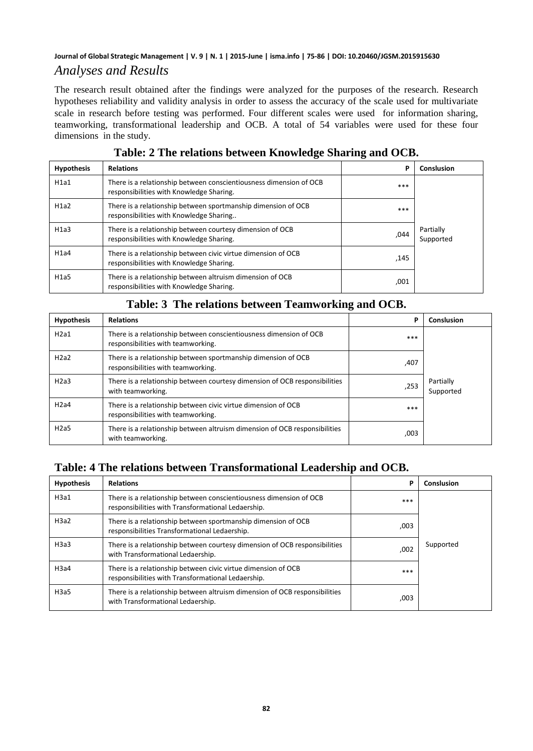### *Analyses and Results*

The research result obtained after the findings were analyzed for the purposes of the research. Research hypotheses reliability and validity analysis in order to assess the accuracy of the scale used for multivariate scale in research before testing was performed. Four different scales were used for information sharing, teamworking, transformational leadership and OCB. A total of 54 variables were used for these four dimensions in the study.

| <b>Hypothesis</b> | <b>Relations</b>                                                                                               | P    | Conslusion             |
|-------------------|----------------------------------------------------------------------------------------------------------------|------|------------------------|
| H1a1              | There is a relationship between conscientiousness dimension of OCB<br>responsibilities with Knowledge Sharing. | ***  |                        |
| H1a2              | There is a relationship between sportmanship dimension of OCB<br>responsibilities with Knowledge Sharing       | ***  |                        |
| H1a3              | There is a relationship between courtesy dimension of OCB<br>responsibilities with Knowledge Sharing.          | ,044 | Partially<br>Supported |
| H1a4              | There is a relationship between civic virtue dimension of OCB<br>responsibilities with Knowledge Sharing.      | ,145 |                        |
| H1a5              | There is a relationship between altruism dimension of OCB<br>responsibilities with Knowledge Sharing.          | ,001 |                        |

### **Table: 2 The relations between Knowledge Sharing and OCB.**

| <b>Hypothesis</b> | <b>Relations</b>                                                                                         | P    | Conslusion             |
|-------------------|----------------------------------------------------------------------------------------------------------|------|------------------------|
| H2a1              | There is a relationship between conscientiousness dimension of OCB<br>responsibilities with teamworking. | ***  |                        |
| H2a2              | There is a relationship between sportmanship dimension of OCB<br>responsibilities with teamworking.      | ,407 |                        |
| H2a3              | There is a relationship between courtesy dimension of OCB responsibilities<br>with teamworking.          | ,253 | Partially<br>Supported |
| H2a4              | There is a relationship between civic virtue dimension of OCB<br>responsibilities with teamworking.      | ***  |                        |
| H2a5              | There is a relationship between altruism dimension of OCB responsibilities<br>with teamworking.          | ,003 |                        |

#### **Table: 3 The relations between Teamworking and OCB.**

### **Table: 4 The relations between Transformational Leadership and OCB.**

| <b>Hypothesis</b> | <b>Relations</b>                                                                                                         | P    | Conslusion |
|-------------------|--------------------------------------------------------------------------------------------------------------------------|------|------------|
| H3a1              | There is a relationship between conscientiousness dimension of OCB<br>responsibilities with Transformational Ledaership. | ***  |            |
| H3a2              | There is a relationship between sportmanship dimension of OCB<br>responsibilities Transformational Ledaership.           | ,003 |            |
| H3a3              | There is a relationship between courtesy dimension of OCB responsibilities<br>with Transformational Ledaership.          | ,002 | Supported  |
| H3a4              | There is a relationship between civic virtue dimension of OCB<br>responsibilities with Transformational Ledaership.      | ***  |            |
| H3a5              | There is a relationship between altruism dimension of OCB responsibilities<br>with Transformational Ledaership.          | ,003 |            |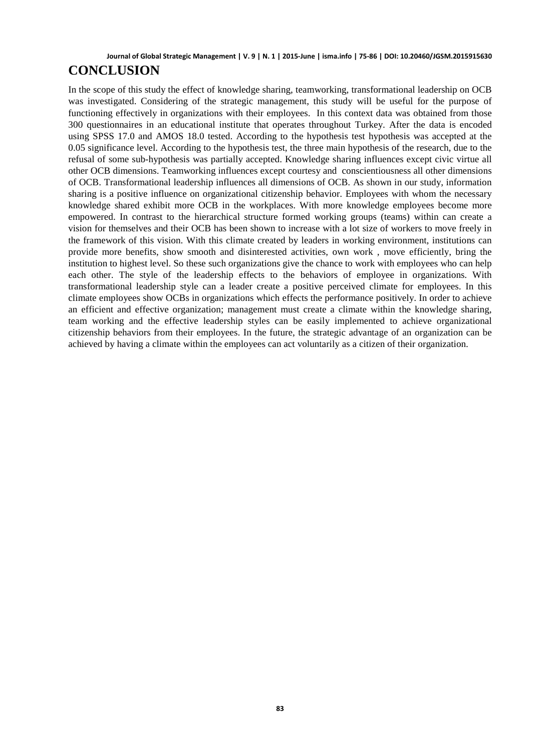# **CONCLUSION**

In the scope of this study the effect of knowledge sharing, teamworking, transformational leadership on OCB was investigated. Considering of the strategic management, this study will be useful for the purpose of functioning effectively in organizations with their employees. In this context data was obtained from those 300 questionnaires in an educational institute that operates throughout Turkey. After the data is encoded using SPSS 17.0 and AMOS 18.0 tested. According to the hypothesis test hypothesis was accepted at the 0.05 significance level. According to the hypothesis test, the three main hypothesis of the research, due to the refusal of some sub-hypothesis was partially accepted. Knowledge sharing influences except civic virtue all other OCB dimensions. Teamworking influences except courtesy and conscientiousness all other dimensions of OCB. Transformational leadership influences all dimensions of OCB. As shown in our study, information sharing is a positive influence on organizational citizenship behavior. Employees with whom the necessary knowledge shared exhibit more OCB in the workplaces. With more knowledge employees become more empowered. In contrast to the hierarchical structure formed working groups (teams) within can create a vision for themselves and their OCB has been shown to increase with a lot size of workers to move freely in the framework of this vision. With this climate created by leaders in working environment, institutions can provide more benefits, show smooth and disinterested activities, own work , move efficiently, bring the institution to highest level. So these such organizations give the chance to work with employees who can help each other. The style of the leadership effects to the behaviors of employee in organizations. With transformational leadership style can a leader create a positive perceived climate for employees. In this climate employees show OCBs in organizations which effects the performance positively. In order to achieve an efficient and effective organization; management must create a climate within the knowledge sharing, team working and the effective leadership styles can be easily implemented to achieve organizational citizenship behaviors from their employees. In the future, the strategic advantage of an organization can be achieved by having a climate within the employees can act voluntarily as a citizen of their organization.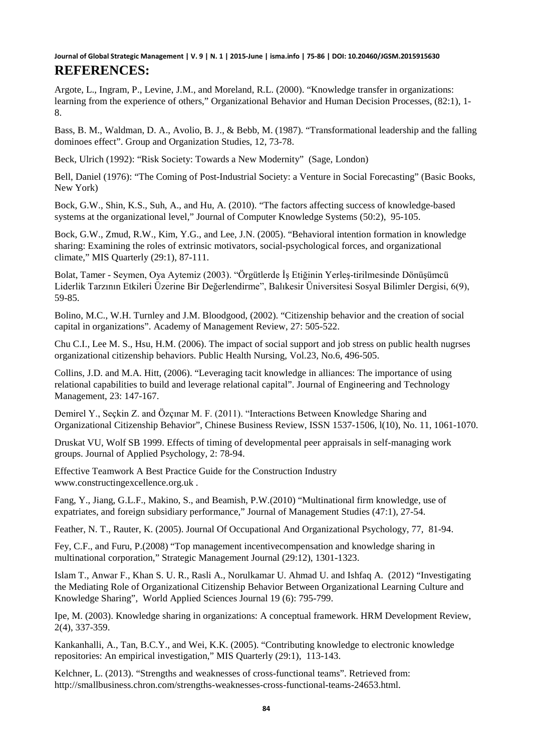Argote, L., Ingram, P., Levine, J.M., and Moreland, R.L. (2000). "Knowledge transfer in organizations: learning from the experience of others," Organizational Behavior and Human Decision Processes, (82:1), 1- 8.

Bass, B. M., Waldman, D. A., Avolio, B. J., & Bebb, M. (1987). "Transformational leadership and the falling dominoes effect". Group and Organization Studies, 12, 73-78.

Beck, Ulrich (1992): "Risk Society: Towards a New Modernity" (Sage, London)

Bell, Daniel (1976): "The Coming of Post-Industrial Society: a Venture in Social Forecasting" (Basic Books, New York)

Bock, G.W., Shin, K.S., Suh, A., and Hu, A. (2010). "The factors affecting success of knowledge-based systems at the organizational level," Journal of Computer Knowledge Systems (50:2), 95-105.

Bock, G.W., Zmud, R.W., Kim, Y.G., and Lee, J.N. (2005). "Behavioral intention formation in knowledge sharing: Examining the roles of extrinsic motivators, social-psychological forces, and organizational climate," MIS Quarterly (29:1), 87-111.

Bolat, Tamer - Seymen, Oya Aytemiz (2003). "Örgütlerde İş Etiğinin Yerleş-tirilmesinde Dönüşümcü Liderlik Tarzının Etkileri Üzerine Bir Değerlendirme", Balıkesir Üniversitesi Sosyal Bilimler Dergisi, 6(9), 59-85.

Bolino, M.C., W.H. Turnley and J.M. Bloodgood, (2002). "Citizenship behavior and the creation of social capital in organizations". Academy of Management Review, 27: 505-522.

Chu C.I., Lee M. S., Hsu, H.M. (2006). The impact of social support and job stress on public health nugrses organizational citizenship behaviors. Public Health Nursing, Vol.23, No.6, 496-505.

Collins, J.D. and M.A. Hitt, (2006). "Leveraging tacit knowledge in alliances: The importance of using relational capabilities to build and leverage relational capital". Journal of Engineering and Technology Management, 23: 147-167.

Demirel Y., Seçkin Z. and Özçınar M. F. (2011). "Interactions Between Knowledge Sharing and Organizational Citizenship Behavior", Chinese Business Review, ISSN 1537-1506, l(10), No. 11, 1061-1070.

Druskat VU, Wolf SB 1999. Effects of timing of developmental peer appraisals in self-managing work groups. Journal of Applied Psychology, 2: 78-94.

Effective Teamwork A Best Practice Guide for the Construction Industry [www.constructingexcellence.org.uk](http://www.constructingexcellence.org.uk/) .

Fang, Y., Jiang, G.L.F., Makino, S., and Beamish, P.W.(2010) "Multinational firm knowledge, use of expatriates, and foreign subsidiary performance," Journal of Management Studies (47:1), 27-54.

Feather, N. T., Rauter, K. (2005). Journal Of Occupational And Organizational Psychology, 77, 81-94.

Fey, C.F., and Furu, P.(2008) "Top management incentivecompensation and knowledge sharing in multinational corporation," Strategic Management Journal (29:12), 1301-1323.

Islam T., Anwar F., Khan S. U. R., Rasli A., Norulkamar U. Ahmad U. and Ishfaq A. (2012) "Investigating the Mediating Role of Organizational Citizenship Behavior Between Organizational Learning Culture and Knowledge Sharing", World Applied Sciences Journal 19 (6): 795-799.

Ipe, M. (2003). Knowledge sharing in organizations: A conceptual framework. HRM Development Review, 2(4), 337-359.

Kankanhalli, A., Tan, B.C.Y., and Wei, K.K. (2005). "Contributing knowledge to electronic knowledge repositories: An empirical investigation," MIS Quarterly (29:1), 113-143.

Kelchner, L. (2013). "Strengths and weaknesses of cross-functional teams". Retrieved from: [http://smallbusiness.chron.com/strengths-weaknesses-cross-functional-teams-24653.html.](http://smallbusiness.chron.com/strengths-weaknesses-cross-functional-teams-24653.html)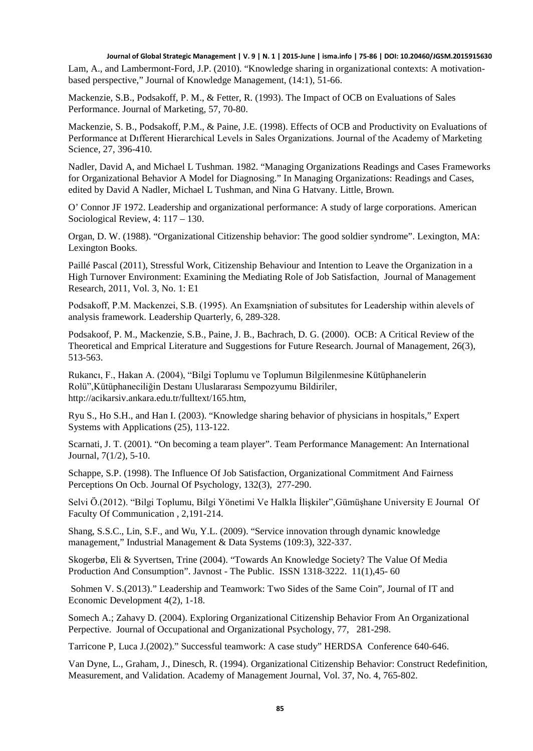Lam, A., and Lambermont-Ford, J.P. (2010). "Knowledge sharing in organizational contexts: A motivationbased perspective," Journal of Knowledge Management, (14:1), 51-66.

Mackenzie, S.B., Podsakoff, P. M., & Fetter, R. (1993). The Impact of OCB on Evaluations of Sales Performance. Journal of Marketing, 57, 70-80.

Mackenzie, S. B., Podsakoff, P.M., & Paine, J.E. (1998). Effects of OCB and Productivity on Evaluations of Performance at Dıfferent Hierarchical Levels in Sales Organizations. Journal of the Academy of Marketing Science, 27, 396-410.

Nadler, David A, and Michael L Tushman. 1982. "Managing Organizations Readings and Cases Frameworks for Organizational Behavior A Model for Diagnosing." In Managing Organizations: Readings and Cases, edited by David A Nadler, Michael L Tushman, and Nina G Hatvany. Little, Brown.

O' Connor JF 1972. Leadership and organizational performance: A study of large corporations. American Sociological Review, 4: 117 – 130.

Organ, D. W. (1988). "Organizational Citizenship behavior: The good soldier syndrome". Lexington, MA: Lexington Books.

Paillé Pascal (2011), Stressful Work, Citizenship Behaviour and Intention to Leave the Organization in a High Turnover Environment: Examining the Mediating Role of Job Satisfaction, Journal of Management Research, 2011, Vol. 3, No. 1: E1

Podsakoff, P.M. Mackenzei, S.B. (1995). An Examşniation of subsitutes for Leadership within alevels of analysis framework. Leadership Quarterly, 6, 289-328.

Podsakoof, P. M., Mackenzie, S.B., Paine, J. B., Bachrach, D. G. (2000). OCB: A Critical Review of the Theoretical and Emprical Literature and Suggestions for Future Research. Journal of Management, 26(3), 513-563.

Rukancı, F., Hakan A. (2004), "Bilgi Toplumu ve Toplumun Bilgilenmesine Kütüphanelerin Rolü",Kütüphaneciliğin Destanı Uluslararası Sempozyumu Bildiriler, http://acikarsiv.ankara.edu.tr/fulltext/165.htm,

Ryu S., Ho S.H., and Han I. (2003). "Knowledge sharing behavior of physicians in hospitals," Expert Systems with Applications (25), 113-122.

Scarnati, J. T. (2001). "On becoming a team player". Team Performance Management: An International Journal, 7(1/2), 5-10.

Schappe, S.P. (1998). The Influence Of Job Satisfaction, Organizational Commitment And Fairness Perceptions On Ocb. Journal Of Psychology, 132(3), 277-290.

Selvi Ö.(2012). "Bilgi Toplumu, Bilgi Yönetimi Ve Halkla İlişkiler",Gümüşhane University E Journal Of Faculty Of Communication , 2,191-214.

Shang, S.S.C., Lin, S.F., and Wu, Y.L. (2009). "Service innovation through dynamic knowledge management," Industrial Management & Data Systems (109:3), 322-337.

Skogerbø, Eli & Syvertsen, Trine (2004). "Towards An Knowledge Society? The Value Of Media Production And Consumption". Javnost - The Public. ISSN 1318-3222. 11(1),45- 60

Sohmen V. S.(2013)." Leadership and Teamwork: Two Sides of the Same Coin", Journal of IT and Economic Development 4(2), 1-18.

Somech A.; Zahavy D. (2004). Exploring Organizational Citizenship Behavior From An Organizational Perpective. Journal of Occupational and Organizational Psychology, 77, 281-298.

Tarricone P, Luca J.(2002)." Successful teamwork: A case study" HERDSA Conference 640-646.

Van Dyne, L., Graham, J., Dinesch, R. (1994). Organizational Citizenship Behavior: Construct Redefinition, Measurement, and Validation. Academy of Management Journal, Vol. 37, No. 4, 765-802.